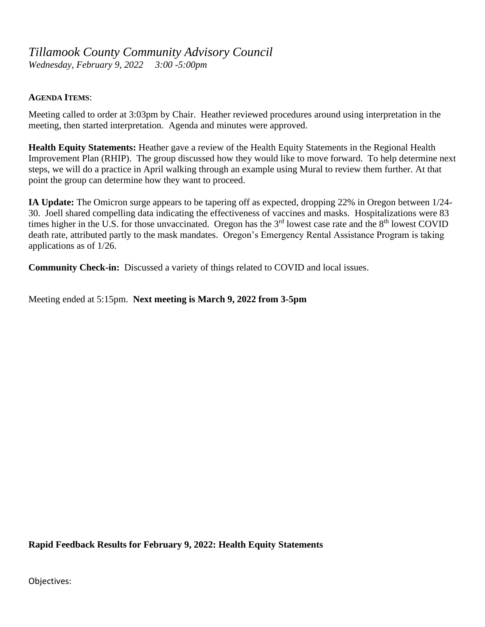## *Tillamook County Community Advisory Council*

*Wednesday, February 9, 2022 3:00 -5:00pm*

## **AGENDA ITEMS**:

Meeting called to order at 3:03pm by Chair. Heather reviewed procedures around using interpretation in the meeting, then started interpretation. Agenda and minutes were approved.

**Health Equity Statements:** Heather gave a review of the Health Equity Statements in the Regional Health Improvement Plan (RHIP). The group discussed how they would like to move forward. To help determine next steps, we will do a practice in April walking through an example using Mural to review them further. At that point the group can determine how they want to proceed.

**IA Update:** The Omicron surge appears to be tapering off as expected, dropping 22% in Oregon between 1/24- 30. Joell shared compelling data indicating the effectiveness of vaccines and masks. Hospitalizations were 83 times higher in the U.S. for those unvaccinated. Oregon has the  $3<sup>rd</sup>$  lowest case rate and the  $8<sup>th</sup>$  lowest COVID death rate, attributed partly to the mask mandates. Oregon's Emergency Rental Assistance Program is taking applications as of 1/26.

**Community Check-in:** Discussed a variety of things related to COVID and local issues.

Meeting ended at 5:15pm. **Next meeting is March 9, 2022 from 3-5pm**

**Rapid Feedback Results for February 9, 2022: Health Equity Statements**

Objectives: